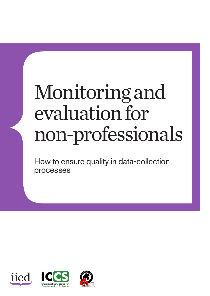# Monitoring and evaluation for non-professionals

How to ensure quality in data-collection processes





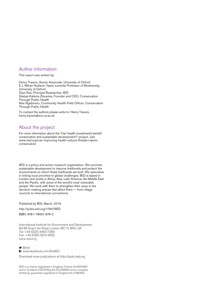#### Author information

This report was written by:

Henry Travers, Senior Associate, University of Oxford E.J. Milner-Gulland, Tasso Leventis Professor of Biodiversity, University of Oxford Dilys Roe, Principal Researcher, IIED Gladys Kalema Zikusoka, Founder and CEO, Conservation Through Public Health Alex Ngabirano, Community Health Field Officer, Conservation Through Public Health

To contact the authors please write to: Henry Travers, henry.travers@zoo.ox.ac.uk

## About the project

For more information about the 'Can health investments benefit conservation and sustainable development?' project, visit www.iied.org/can-improving-health-reduce-threats-natureconservation

IIED is a policy and action research organisation. We promote sustainable development to improve livelihoods and protect the environments on which these livelihoods are built. We specialise in linking local priorities to global challenges. IIED is based in London and works in Africa, Asia, Latin America, the Middle East and the Pacific, with some of the world's most vulnerable people. We work with them to strengthen their voice in the decision-making arenas that affect them — from village councils to international conventions.

Published by IIED, March, 2019

http://pubs.iied.org/17647IIED

ISBN: 978-1-78431-679-2

International Institute for Environment and Development 80-86 Gray's Inn Road, London WC1X 8NH, UK Tel: +44 (0)20 3463 7399 Fax: +44 (0)20 3514 9055 www.iied.org

■ @iied **El** www.facebook.com/theIIED

Download more publications at http://pubs.iied.org

IIED is a charity registered in England, Charity No.800066 and in Scotland, OSCR Reg No.SC039864 and a company limited by guarantee registered in England No.2188452.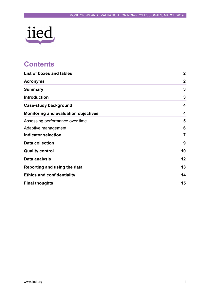

## **Contents**

| List of boxes and tables                    | $\boldsymbol{2}$ |
|---------------------------------------------|------------------|
| <b>Acronyms</b>                             | $\boldsymbol{2}$ |
| <b>Summary</b>                              | $\mathbf{3}$     |
| <b>Introduction</b>                         | $\mathbf{3}$     |
| <b>Case-study background</b>                | 4                |
| <b>Monitoring and evaluation objectives</b> | 4                |
| Assessing performance over time             | 5                |
| Adaptive management                         | 6                |
| <b>Indicator selection</b>                  | $\overline{7}$   |
| <b>Data collection</b>                      | 9                |
| <b>Quality control</b>                      | 10               |
| Data analysis                               | 12               |
| Reporting and using the data                | 13               |
| <b>Ethics and confidentiality</b>           | 14               |
| <b>Final thoughts</b>                       | 15               |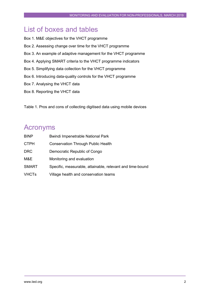## <span id="page-3-0"></span>List of boxes and tables

- Box 1. M&E objectives for the VHCT programme
- Box 2. Assessing change over time for the VHCT programme
- Box 3. An example of adaptive management for the VHCT programme
- Box 4. Applying SMART criteria to the VHCT programme indicators
- Box 5. Simplifying data collection for the VHCT programme
- Box 6. Introducing data-quality controls for the VHCT programme
- Box 7. Analysing the VHCT data
- Box 8. Reporting the VHCT data

Table 1. Pros and cons of collecting digitised data using mobile devices

## <span id="page-3-1"></span>Acronyms

| <b>BINP</b>  | <b>Bwindi Impenetrable National Park</b>                  |
|--------------|-----------------------------------------------------------|
| <b>CTPH</b>  | <b>Conservation Through Public Health</b>                 |
| <b>DRC</b>   | Democratic Republic of Congo                              |
| M&E          | Monitoring and evaluation                                 |
| <b>SMART</b> | Specific, measurable, attainable, relevant and time-bound |
| <b>VHCTs</b> | Village health and conservation teams                     |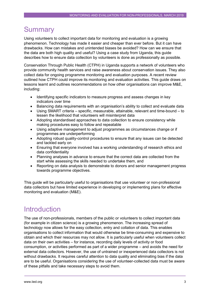## <span id="page-4-0"></span>**Summary**

Using volunteers to collect important data for monitoring and evaluation is a growing phenomenon. Technology has made it easier and cheaper than ever before. But it can have drawbacks. How can mistakes and unintended biases be avoided? How can we ensure that the data are both high quality and useful? Using a case study from Uganda, this guide describes how to ensure data collection by volunteers is done as professionally as possible.

Conservation Through Public Health (CTPH) in Uganda supports a network of volunteers who provide community health services and raise awareness about conservation issues. They also collect data for ongoing programme monitoring and evaluation purposes. A recent review outlined how CTPH could improve its monitoring and evaluation activities. This guide draws on lessons learnt and outlines recommendations on how other organisations can improve M&E, including:

- Identifying specific indicators to measure progress and assess changes in key indicators over time
- Balancing data requirements with an organisation's ability to collect and evaluate data
- Using SMART criteria specific, measurable, attainable, relevant and time-bound to lessen the likelihood that volunteers will misinterpret data
- Adopting standardised approaches to data collection to ensure consistency while making procedures easy to follow and repeatable
- Using adaptive management to adjust programmes as circumstances change or if programmes are underperforming
- Adopting robust quality-control procedures to ensure that any issues can be detected and tackled early on
- Ensuring that everyone involved has a working understanding of research ethics and data confidentiality
- Planning analyses in advance to ensure that the correct data are collected from the start while assessing the skills needed to undertake them, and
- Reporting on data analysis to demonstrate to donors and senior management progress towards programme objectives.

This guide will be particularly useful to organisations that use volunteer or non-professional data collectors but have limited experience in developing or implementing plans for effective monitoring and evaluation (M&E).

## <span id="page-4-1"></span>**Introduction**

The use of non-professionals, members of the public or volunteers to collect important data (for example in citizen science) is a growing phenomenon. The increasing spread of technology now allows for the easy collection, entry and collation of data. This enables organisations to collect information that would otherwise be time-consuming and expensive to obtain and which their resources may not allow. It is particularly useful when volunteers collect data on their own activities – for instance, recording daily levels of activity or food consumption, or activities performed as part of a wider programme – and avoids the need for external data collectors. However, the use of untrained or inexperienced data collectors is not without drawbacks. It requires careful attention to data quality and eliminating bias if the data are to be useful. Organisations considering the use of volunteer-collected data must be aware of these pitfalls and take necessary steps to avoid them.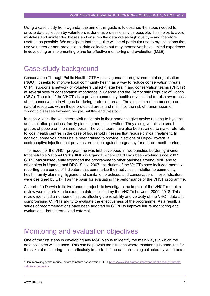Using a case study from Uganda, the aim of this guide is to describe the steps needed to ensure data collection by volunteers is done as professionally as possible. This helps to avoid mistakes and unintended biases and ensures the data are as high quality – and therefore useful – as possible. We anticipate that this guide will be of particular use to organisations that use volunteer or non-professional data collectors but may themselves have limited experience in developing or implementing plans for effective monitoring and evaluation (M&E).

## <span id="page-5-0"></span>Case-study background

Conservation Through Public Health (CTPH) is a Ugandan non-governmental organisation (NGO). It seeks to improve local community health as a way to reduce conservation threats. CTPH supports a network of volunteers called village health and conservation teams (VHCTs) at several sites of conservation importance in Uganda and the Democratic Republic of Congo (DRC). The role of the VHCTs is to provide community health services and to raise awareness about conservation in villages bordering protected areas. The aim is to reduce pressure on natural resources within those protected areas and minimise the risk of transmission of zoonotic diseases between people, wildlife and livestock.

In each village, the volunteers visit residents in their homes to give advice relating to hygiene and sanitation practices, family planning and conservation. They also give talks to small groups of people on the same topics. The volunteers have also been trained to make referrals to local health centres in the case of household illnesses that require clinical treatment. In addition, some volunteers have been trained to provide injections of Depo-Provera, a contraceptive injection that provides protection against pregnancy for a three-month period.

The model for the VHCT programme was first developed in two parishes bordering Bwindi Impenetrable National Park (BINP) in Uganda, where CTPH has been working since 2007. CTPH has subsequently expanded the programme to other parishes around BINP and to other sites in Uganda and DRC. Since 2007, the duties of the VHCTs have included monthly reporting on a series of indicators that summarise their activities in relation to community health, family planning, hygiene and sanitation practices, and conservation. These indicators were designed by CTPH as the basis for evaluating the performance of the VHCT programme.

As part of a Darwin Initiative-funded project<sup>[1](#page-5-2)</sup> to investigate the impact of the VHCT model, a review was undertaken to examine data collected by the VHCTs between 2009–2018. This review identified a number of issues affecting the reliability and veracity of the VHCT data and compromising CTPH's ability to evaluate the effectiveness of the programme. As a result, a series of recommendations have been adopted by CTPH to improve future monitoring and evaluation – both internal and external.

## <span id="page-5-1"></span>Monitoring and evaluation objectives

One of the first steps in developing any M&E plan is to identify the main ways in which the data collected will be used. This can help avoid the situation where monitoring is done just for the sake of monitoring. It is particularly important if the data are being collected by volunteers,

<span id="page-5-2"></span> <sup>1</sup> Can improving health reduce threats to nature conservation? IIED, [https://www.iied.org/can-improving-health-reduce-threats](https://www.iied.org/can-improving-health-reduce-threats-nature-conservation)[nature-conservation](https://www.iied.org/can-improving-health-reduce-threats-nature-conservation)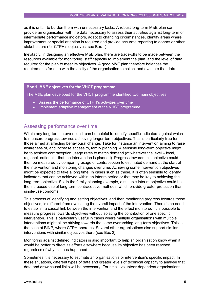as it is unfair to burden them with unnecessary tasks. A robust long-term M&E plan can provide an organisation with the data necessary to assess their activities against long-term or intermediate performance indicators, adapt to changing circumstances, identify areas where improvement or special attention is required and provide accurate reporting to donors or other stakeholders (for CTPH's objectives, see Box 1).

Inevitably, in designing an effective M&E plan, there are trade-offs to be made between the resources available for monitoring, staff capacity to implement the plan, and the level of data required for the plan to meet its objectives. A good M&E plan therefore balances the requirements for data with the ability of the organisation to collect and evaluate that data.

#### **Box 1. M&E objectives for the VHCT programme**

The M&E plan developed for the VHCT programme identified two main objectives:

- Assess the performance of CTPH's activities over time
- Implement adaptive management of the VHCT programme.

## <span id="page-6-0"></span>Assessing performance over time

Within any long-term intervention it can be helpful to identify specific indicators against which to measure progress towards achieving longer-term objectives. This is particularly true for those aimed at affecting behavioural change. Take for instance an intervention aiming to raise awareness of, and increase access to, family planning. A sensible long-term objective might be to achieve contraception usage rates to match demand (at whatever the level – local, regional, national – that the intervention is planned). Progress towards this objective could then be measured by comparing usage of contraception to estimated demand at the start of the intervention and monitoring changes over time. Achieving some intervention objectives might be expected to take a long time. In cases such as these, it is often sensible to identify indicators that can be achieved within an interim period or that may be key to achieving the long-term objective. So, in the family planning example, a suitable interim objective could be the increased use of long-term contraceptive methods, which provide greater protection than single-use condoms.

This process of identifying and setting objectives, and then monitoring progress towards those objectives, is different from evaluating the overall impact of the intervention. There is no need to establish a causal link between the intervention and the effect monitored. It is possible to measure progress towards objectives without isolating the contribution of one specific intervention. This is particularly useful in cases where multiple organisations with multiple interventions might all be striving towards the same overarching long-term objectives. This is the case at BINP, where CTPH operates. Several other organisations also support similar interventions with similar objectives there (see Box 2).

Monitoring against defined indicators is also important to help an organisation know when it would be better to direct its efforts elsewhere because its objective has been reached, regardless of why this has happened.

Sometimes it is necessary to estimate an organisation's or intervention's specific impact. In these situations, different types of data and greater levels of technical capacity to analyse that data and draw causal links will be necessary. For small, volunteer-dependent organisations,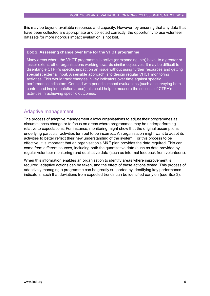this may be beyond available resources and capacity. However, by ensuring that any data that have been collected are appropriate and collected correctly, the opportunity to use volunteer datasets for more rigorous impact evaluation is not lost.

#### **Box 2. Assessing change over time for the VHCT programme**

Many areas where the VHCT programme is active (or expanding into) have, to a greater or lesser extent, other organisations working towards similar objectives. It may be difficult to disentangle CTPH's specific impact on an issue without using further resources and getting specialist external input. A sensible approach is to design regular VHCT monitoring activities. This would track changes in key indicators over time against specific performance indicators. Coupled with periodic impact evaluations (such as surveying both control and implementation areas) this could help to measure the success of CTPH's activities in achieving specific outcomes.

## <span id="page-7-0"></span>Adaptive management

The process of adaptive management allows organisations to adjust their programmes as circumstances change or to focus on areas where programmes may be underperforming relative to expectations. For instance, monitoring might show that the original assumptions underlying particular activities turn out to be incorrect. An organisation might want to adapt its activities to better reflect their new understanding of the system. For this process to be effective, it is important that an organisation's M&E plan provides the data required. This can come from different sources, including both the quantitative data (such as data provided by regular volunteer monitoring) and qualitative data (such as informal feedback from volunteers).

When this information enables an organisation to identify areas where improvement is required, adaptive actions can be taken, and the effect of these actions tested. This process of adaptively managing a programme can be greatly supported by identifying key performance indicators, such that deviations from expected trends can be identified early on (see Box 3).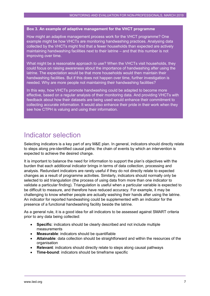#### **Box 3. An example of adaptive management for the VHCT programme**

How might an adaptive management process work for the VHCT programme? One example might be how VHCTs are monitoring handwashing practices. Analysing data collected by the VHCTs might find that a fewer households than expected are actively maintaining handwashing facilities next to their latrine – and that this number is not improving over time.

What might be a reasonable approach to use? When the VHCTs visit households, they could focus on raising awareness about the importance of handwashing after using the latrine. The expectation would be that more households would then maintain their handwashing facilities. But if this does not happen over time, further investigation is needed. Why are more people not maintaining their handwashing facilities?

In this way, how VHCTs promote handwashing could be adapted to become more effective, based on a regular analysis of their monitoring data. And providing VHCTs with feedback about how their datasets are being used would enhance their commitment to collecting accurate information. It would also enhance their pride in their work when they see how CTPH is valuing and using their information.

## <span id="page-8-0"></span>Indicator selection

Selecting indicators is a key part of any M&E plan. In general, indicators should directly relate to steps along pre-identified causal paths: the chain of events by which an intervention is expected to achieve the desired change.

It is important to balance the need for information to support the plan's objectives with the burden that each additional indicator brings in terms of data collection, processing and analysis. Redundant indicators are rarely useful if they do not directly relate to expected changes as a result of programme activities. Similarly, indicators should normally only be selected to aid triangulation (the process of using data from more than one indicator to validate a particular finding). Triangulation is useful when a particular variable is expected to be difficult to measure, and therefore have reduced accuracy. For example, it may be challenging to know whether people are actually washing their hands after using the latrine. An indicator for reported handwashing could be supplemented with an indicator for the presence of a functional handwashing facility beside the latrine.

As a general rule, it is a good idea for all indicators to be assessed against SMART criteria prior to any data being collected:

- **Specific:** indicators should be clearly described and not include multiple measurements
- **Measurable**: indicators should be quantifiable
- **Attainable**: data collection should be straightforward and within the resources of the organisation
- **Relevant**: indicators should directly relate to steps along causal pathways
- **Time-bound**: indicators should be timeframe specific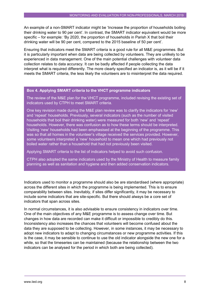An example of a non-SMART indicator might be 'Increase the proportion of households boiling their drinking water to 90 per cent'. In contrast, the SMART indicator equivalent would be more specific – for example: 'By 2020, the proportion of households in Parish X that boil their drinking water will be 90 per cent, compared to the 2015 baseline of 50 per cent'.

Ensuring that indicators meet the SMART criteria is a good rule for all M&E programmes. But it is particularly important when data are being collected by volunteers. They are unlikely to be experienced in data management. One of the main potential challenges with volunteer data collection relates to data accuracy. It can be badly affected if people collecting the data interpret what is required differently. The more clearly specified an indicator is, as it will be if it meets the SMART criteria, the less likely the volunteers are to misinterpret the data required.

#### **Box 4. Applying SMART criteria to the VHCT programme indicators**

The review of the M&E plan for the VHCT programme, included revising the existing set of indicators used by CTPH to meet SMART criteria.

One key revision made during the M&E plan review was to clarify the indicators for 'new' and 'repeat' households. Previously, several indicators (such as the number of visited households that boil their drinking water) were measured for both 'new' and 'repeat' households. However, there was confusion as to how these terms should be interpreted. Visiting 'new' households had been emphasised at the beginning of the programme. This was so that all homes in the volunteer's village received the services provided. However, some volunteers interpreted a 'new' household to mean one which had previously not boiled water rather than a household that had not previously been visited.

Applying SMART criteria to the list of indicators helped to avoid such confusion.

CTPH also adopted the same indicators used by the Ministry of Health to measure family planning as well as sanitation and hygiene and then added conservation indicators.

Indicators used to monitor a programme should also be are standardised (where appropriate) across the different sites in which the programme is being implemented. This is to ensure comparability between sites. Inevitably, if sites differ significantly, it may be necessary to include some indicators that are site-specific. But there should always be a core set of indicators that span across sites.

In normal circumstances, it is also advisable to ensure consistency in indicators over time. One of the main objectives of any M&E programme is to assess change over time. But changes in how data are recorded can make it difficult or impossible to credibly do this. Inconsistency also increases the chances that volunteers will become confused about the data they are supposed to be collecting. However, in some instances, it may be necessary to adopt new indicators to adapt to changing circumstances or new programme activities. If this is the case, it may be sensible to continue to use the old indicator alongside the new one for a while, so that the timeseries can be maintained (because the relationship between the two indicators can be analysed for the period in which both are being collected).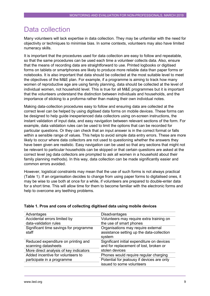## <span id="page-10-0"></span>Data collection

Many volunteers will lack expertise in data collection. They may be unfamiliar with the need for objectivity or techniques to minimise bias. In some contexts, volunteers may also have limited numeracy skills.

It is important that the procedures used for data collection are easy to follow and repeatable, so that the same procedures can be used each time a volunteer collects data. Also, ensure that the means of recording data are straightforward to use. Printed logbooks or digitised forms on tablets or smartphones are likely to produce more reliable data than paper forms or notebooks. It is also important that data should be collected at the most suitable level to meet the objectives of the M&E plan. For example, if a programme is aiming to track how many women of reproductive age are using family planning, data should be collected at the level of individual women, not household level. This is true for all M&E programmes but it is important that the volunteers understand the distinction between individuals and households, and the importance of sticking to a proforma rather than making their own individual notes.

Making data-collection procedures easy to follow and ensuring data are collected at the correct level can be helped by using digitised data forms on mobile devices. These forms can be designed to help guide inexperienced data collectors using on-screen instructions, the instant validation of input data, and easy navigation between relevant sections of the form. For example, data validation rules can be used to limit the options that can be recorded for particular questions. Or they can check that an input answer is in the correct format or falls within a sensible range of values. This helps to avoid simple data entry errors. These are more likely to occur where data collectors are not used to questioning whether the answers they have been given are realistic. Easy navigation can be used so that any sections that might not be relevant to particular households can be skipped or that certain questions are asked at the correct level (eg data collectors are prompted to ask all women in a household about their family planning methods). In this way, data collection can be made significantly easier and common errors avoided.

However, logistical constraints may mean that the use of such forms is not always practical (Table 1). If an organisation decides to change from using paper forms to digitalised ones, it may be wise to use both at once for a while, if volunteers are prepared to double-enter data for a short time. This will allow time for them to become familiar with the electronic forms and help to overcome any teething problems.

| Advantages                                                 | <b>Disadvantages</b>                                                                      |
|------------------------------------------------------------|-------------------------------------------------------------------------------------------|
| Accidental errors limited by                               | Volunteers may require extra training on                                                  |
| data-validation rules                                      | the use of smart phones                                                                   |
| Significant time savings for programme<br>staff            | Organisations may require external<br>assistance setting up the data-collection<br>system |
| Reduced expenditure on printing and<br>scanning datasheets | Significant initial expenditure on devices<br>and for replacement of lost, broken or      |
| More direct analysis of key indicators                     | stolen devices                                                                            |
| Added incentive for volunteers to                          | Phones would require regular charging                                                     |
| participate in a programme                                 | Potential for jealousy if devices are only                                                |
|                                                            | issued to some volunteers                                                                 |

#### **Table 1. Pros and cons of collecting digitised data using mobile devices**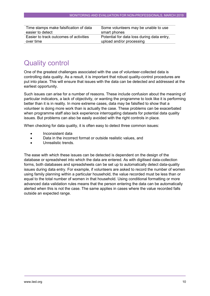| Time stamps make falsification of data | Some volunteers may be unable to use       |
|----------------------------------------|--------------------------------------------|
| easier to detect                       | smart phones                               |
| Easier to track outcomes of activities | Potential for data loss during data entry, |
| over time                              | upload and/or processing                   |
|                                        |                                            |

# <span id="page-11-0"></span>Quality control

One of the greatest challenges associated with the use of volunteer-collected data is controlling data quality. As a result, it is important that robust quality-control procedures are put into place. This will ensure that issues with the data can be detected and addressed at the earliest opportunity.

Such issues can arise for a number of reasons. These include confusion about the meaning of particular indicators, a lack of objectivity, or wanting the programme to look like it is performing better than it is in reality. In more extreme cases, data may be falsified to show that a volunteer is doing more work than is actually the case. These problems can be exacerbated when programme staff also lack experience interrogating datasets for potential data quality issues. But problems can also be easily avoided with the right controls in place.

When checking for data quality, it is often easy to detect three common issues:

- Inconsistent data
- Data in the incorrect format or outside realistic values, and
- Unrealistic trends.

The ease with which these issues can be detected is dependent on the design of the database or spreadsheet into which the data are entered. As with digitised data-collection forms, both databases and spreadsheets can be set up to automatically detect data-quality issues during data entry. For example, if volunteers are asked to record the number of women using family planning within a particular household, the value recorded must be less than or equal to the total number of women in that household. Using conditional formatting or more advanced data validation rules means that the person entering the data can be automatically alerted when this is not the case. The same applies in cases where the value recorded falls outside an expected range.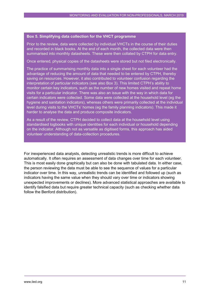#### **Box 5. Simplifying data collection for the VHCT programme**

Prior to the review, data were collected by individual VHCTs in the course of their duties and recorded in black books. At the end of each month, the collected data were then summarised into monthly datasheets. These were then collated by CTPH for data entry.

Once entered, physical copies of the datasheets were stored but not filed electronically.

The practice of summarising monthly data into a single sheet for each volunteer had the advantage of reducing the amount of data that needed to be entered by CTPH, thereby saving on resources. However, it also contributed to volunteer confusion regarding the interpretation of particular indicators (see also Box 3). This limited CTPH's ability to monitor certain key indicators, such as the number of new homes visited and repeat home visits for a particular indicator. There was also an issue with the way in which data for certain indicators were collected. Some data were collected at the household level (eg the hygiene and sanitation indicators), whereas others were primarily collected at the individual level during visits to the VHCTs' homes (eg the family planning indicators). This made it harder to analyse the data and produce composite indicators.

As a result of the review, CTPH decided to collect data at the household level using standardised logbooks with unique identities for each individual or household depending on the indicator. Although not as versatile as digitised forms, this approach has aided volunteer understanding of data-collection procedures.

For inexperienced data analysts, detecting unrealistic trends is more difficult to achieve automatically. It often requires an assessment of data changes over time for each volunteer. This is most easily done graphically but can also be done with tabulated data. In either case, the person reviewing the data must be able to see the sequence of values for a particular indicator over time. In this way, unrealistic trends can be identified and followed up (such as indicators having the same value when they should vary over time or indicators showing unexpected improvements or declines). More advanced statistical approaches are available to identify falsified data but require greater technical capacity (such as checking whether data follow the Benford distribution).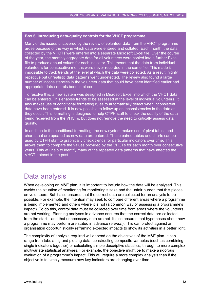#### **Box 6. Introducing data-quality controls for the VHCT programme**

Many of the issues uncovered by the review of volunteer data from the VHCT programme arose because of the way in which data were entered and collated. Each month, the data collected by the VHCTs were entered into a separate Microsoft Excel file. Over the course of the year, the monthly aggregate data for all volunteers were copied into a further Excel file to produce annual values for each indicator. This meant that the data from individual volunteers for consecutive months were never recorded in the same file. This made it impossible to track trends at the level at which the data were collected. As a result, highly repetitive but unrealistic data patterns went undetected. The review also found a large number of inconsistencies in the volunteer data that could have been identified earlier had appropriate data controls been in place.

To resolve this, a new system was designed in Microsoft Excel into which the VHCT data can be entered. This enables trends to be assessed at the level of individual volunteers. It also makes use of conditional formatting rules to automatically detect when inconsistent data have been entered. It is now possible to follow up on inconsistencies in the data as they occur. This formatting is designed to help CTPH staff to check the quality of the data being received from the VHCTs, but does not remove the need to critically assess data quality.

In addition to the conditional formatting, the new system makes use of pivot tables and charts that are updated as new data are entered. These paired tables and charts can be used by CTPH staff to graphically check trends for particular indicators over time. This allows them to compare the values provided by the VHCTs for each month over consecutive years. This will help to identify many of the repeated data patterns that have affected the VHCT dataset in the past.

## <span id="page-13-0"></span>Data analysis

When developing an M&E plan, it is important to include how the data will be analysed. This avoids the situation of monitoring for monitoring's sake and the unfair burden that this places on volunteers. But it also ensures that the correct data are collected for an analysis to be possible. For example, the intention may seek to compare different areas where a programme is being implemented and others where it is not (a common way of assessing a programme's impact). To do this, control data must be collected over time from areas where the volunteers are not working. Planning analyses in advance ensures that the correct data are collected from the start – and that unnecessary data are not. It also ensures that hypotheses about how a programme may perform are stated in advance (*a priori)*. This can protect against an organisation opportunistically reframing expected impacts to show its activities in a better light.

The complexity of analysis required will depend on the objectives of the M&E plan. It can range from tabulating and plotting data, constructing composite variables (such as combining single indicators together) or calculating simple descriptive statistics, through to more complex multivariate statistical analyses. For example, the objective might be to make a rigorous evaluation of a programme's impact. This will require a more complex analysis than if the objective is to simply measure how key indicators are changing over time.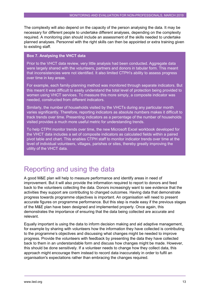The complexity will also depend on the capacity of the person analysing the data. It may be necessary for different people to undertake different analyses, depending on the complexity required. A monitoring plan should include an assessment of the skills needed to undertake planned analyses. Personnel with the right skills can then be appointed or extra training given to existing staff.

#### **Box 7. Analysing the VHCT data**

Prior to the VHCT data review, very little analysis had been conducted. Aggregate data were largely shared with the volunteers, partners and donors in tabular form. This meant that inconsistencies were not identified. It also limited CTPH's ability to assess progress over time in key areas.

For example, each family-planning method was monitored through separate indicators. But this meant it was difficult to easily understand the total level of protection being provided to women using VHCT services. To measure this more simply, a composite indicator was needed, constructed from different indicators.

Similarly, the number of households visited by the VHCTs during any particular month varies significantly. Therefore, reporting indicators as absolute numbers makes it difficult to track trends over time. Presenting indicators as a percentage of the number of households visited provides a much more useful metric for understanding trends.

To help CTPH monitor trends over time, the new Microsoft Excel workbook developed for the VHCT data includes a set of composite indicators as calculated fields within a paired pivot table and chart. This enables CTPH staff to monitor indicator trends over time at the level of individual volunteers, villages, parishes or sites, thereby greatly improving the utility of the VHCT data.

## <span id="page-14-0"></span>Reporting and using the data

A good M&E plan will help to measure performance and identify areas in need of improvement. But it will also provide the information required to report to donors and feed back to the volunteers collecting the data. Donors increasingly want to see evidence that the activities they support are contributing to changed outcomes. Having data that demonstrate progress towards programme objectives is important. An organisation will need to present accurate figures on programme performance. But this step is made easy if the previous stages of the M&E plan have been designed and implemented properly. Once again, this demonstrates the importance of ensuring that the data being collected are accurate and relevant.

Equally important is using the data to inform decision making and aid adaptive management, for example by sharing with volunteers how the information they have collected is contributing to the programme's objectives and discussing what changes might be needed to improve progress. Provide the volunteers with feedback by presenting the data they have collected back to them in an understandable form and discuss how changes might be made. However, this should be done sensitively. If a volunteer needs to change how they collect data, this approach might encourage them instead to record data inaccurately in order to fulfil an organisation's expectations rather than embracing the changes required.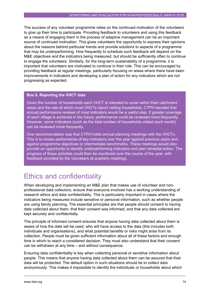The success of any volunteer programme relies on the continued motivation of the volunteers to give up their time to participate. Providing feedback to volunteers and using this feedback as a means of engaging them in the process of adaptive management can be an important source of continued motivation. This gives volunteers the opportunity to express their opinions about the reasons behind particular trends and provide solutions to aspects of a programme that may be underperforming. How frequently to schedule such feedback will depend on the M&E objectives and the indicators being measured, but should be sufficiently often to continue to engage the volunteers. Similarly, for the long-term sustainability of a programme, it is important that volunteers are motivated to continue in their role. This can be encouraged by providing feedback at regular meetings, particularly focusing on areas where there have been improvements in indicators and developing a plan of action for any indicators which are not progressing as expected.

#### **Box 8. Reporting the VHCT data**

Given the number of households each VHCT is intended to cover within their catchment areas and the rate at which most VHCTs report visiting households, CTPH decided that annual performance reviews of most indicators would be a useful step. If greater coverage of each village is achieved in the future, performance could be reviewed more frequently. However, some indicators (such as the total number of households visited each month) can be reviewed more frequently.

One recommendation was that CTPH holds annual planning meetings with the VHCTs. This is to review performance of key indicators over the year against previous years and against programme objectives or intermediate benchmarks. These meetings would also provide an opportunity to identify underperforming indicators and plan remedial action. The progress of these activities could then be monitored over the course of the year, with feedback provided by the volunteers at quarterly meetings.

## <span id="page-15-0"></span>Ethics and confidentiality

When developing and implementing an M&E plan that makes use of volunteer and nonprofessional data collectors, ensure that everyone involved has a working understanding of research ethics and data confidentiality. This is particularly important in cases where the indicators being measured include sensitive or personal information, such as whether people are using family planning. The essential principles are that people should consent to having data collected about them, that their consent was informed, and that any data collected are kept securely and confidentially.

The principle of informed consent ensures that anyone having data collected about them is aware of how the data will be used, who will have access to the data (this includes both individuals and organisations), and what potential benefits or risks might arise from its collection. People must be given sufficient information about all of these factors and enough time in which to reach a considered decision. They must also understand that their consent can be withdrawn at any time – and without consequence.

Ensuring data confidentiality is key when collecting personal or sensitive information about people. This means that anyone having data collected about them can be assured that their data will be protected. The default option in such situations should be to collect data anonymously. This makes it impossible to identify the individuals or households about which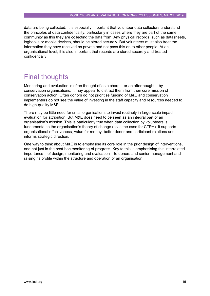data are being collected. It is especially important that volunteer data collectors understand the principles of data confidentiality, particularly in cases where they are part of the same community as this they are collecting the data from. Any physical records, such as datasheets, logbooks or mobile devices, should be stored securely. But volunteers must also treat the information they have received as private and not pass this on to other people. At an organisational level, it is also important that records are stored securely and treated confidentially.

# <span id="page-16-0"></span>Final thoughts

Monitoring and evaluation is often thought of as a chore – or an afterthought – by conservation organisations. It may appear to distract them from their core mission of conservation action. Often donors do not prioritise funding of M&E and conservation implementers do not see the value of investing in the staff capacity and resources needed to do high-quality M&E.

There may be little need for small organisations to invest routinely in large-scale impact evaluation for attribution. But M&E does need to be seen as an integral part of an organisation's mission. This is particularly true when data collection by volunteers is fundamental to the organisation's theory of change (as is the case for CTPH). It supports organisational effectiveness, value for money, better donor and participant relations and informs strategic direction.

One way to think about M&E is to emphasise its core role in the prior design of interventions, and not just in the post-hoc monitoring of progress. Key to this is emphasising this interrelated importance – of design, monitoring and evaluation – to donors and senior management and raising its profile within the structure and operation of an organisation.